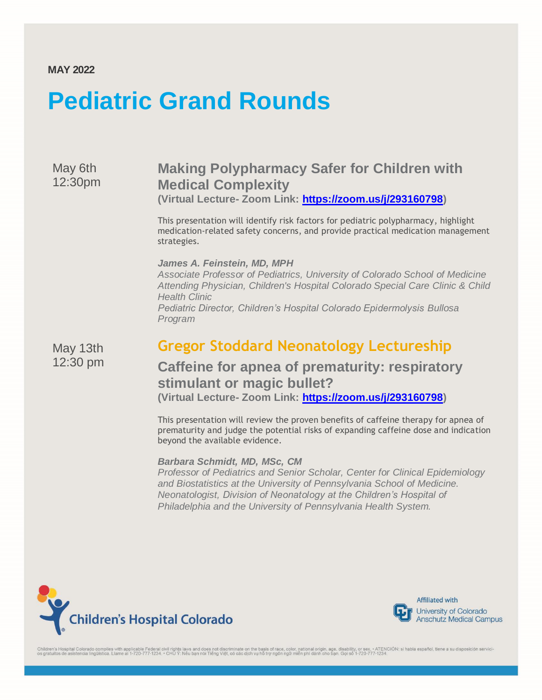### **MAY 2022**

# **Pediatric Grand Rounds**

May 6th 12:30pm

### **Making Polypharmacy Safer for Children with Medical Complexity (Virtual Lecture- Zoom Link: [https://zoom.us/j/293160798\)](https://zoom.us/j/293160798)**

This presentation will identify risk factors for pediatric polypharmacy, highlight medication-related safety concerns, and provide practical medication management strategies.

#### *James A. Feinstein, MD, MPH*

*Associate Professor of Pediatrics, University of Colorado School of Medicine Attending Physician, Children's Hospital Colorado Special Care Clinic & Child Health Clinic Pediatric Director, Children's Hospital Colorado Epidermolysis Bullosa Program*

May 13th 12:30 pm

# **Gregor Stoddard Neonatology Lectureship**

### **Caffeine for apnea of prematurity: respiratory stimulant or magic bullet? (Virtual Lecture- Zoom Link: [https://zoom.us/j/293160798\)](https://zoom.us/j/293160798)**

This presentation will review the proven benefits of caffeine therapy for apnea of prematurity and judge the potential risks of expanding caffeine dose and indication beyond the available evidence.

#### *Barbara Schmidt, MD, MSc, CM*

*Professor of Pediatrics and Senior Scholar, Center for Clinical Epidemiology and Biostatistics at the University of Pennsylvania School of Medicine. Neonatologist, Division of Neonatology at the Children's Hospital of Philadelphia and the University of Pennsylvania Health System.*





**Affiliated with** University of Colorado **Anschutz Medical Campus** 

Children's Hospital Colorado complies with applicable Federal civil rights laws and does not discriminate on the basis of race, color, national origin, age, disability, or sex. • ATENCIÓN: si habla español, tiene a su disp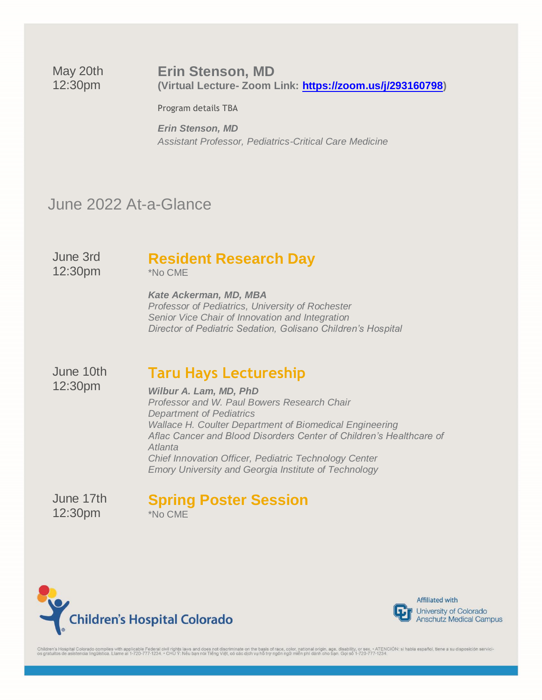### **Erin Stenson, MD**

May 20th 12:30pm

**(Virtual Lecture- Zoom Link: [https://zoom.us/j/293160798\)](https://zoom.us/j/293160798)**

Program details TBA

*Erin Stenson, MD Assistant Professor, Pediatrics-Critical Care Medicine* 

# June 2022 At-a-Glance

June 3rd 12:30pm

# **Resident Research Day**

\*No CME

*Kate Ackerman, MD, MBA Professor of Pediatrics, University of Rochester Senior Vice Chair of Innovation and Integration Director of Pediatric Sedation, Golisano Children's Hospital*

June 10th 12:30pm

## **Taru Hays Lectureship**

*Wilbur A. Lam, MD, PhD Professor and W. Paul Bowers Research Chair Department of Pediatrics Wallace H. Coulter Department of Biomedical Engineering Aflac Cancer and Blood Disorders Center of Children's Healthcare of Atlanta Chief Innovation Officer, Pediatric Technology Center Emory University and Georgia Institute of Technology*

June 17th 12:30pm

### **Spring Poster Session** \*No CME

**Children's Hospital Colorado** 



**Affiliated with** University of Colorado **Anschutz Medical Campus** 

Children's Hospital Colorado complies with applicable Federal civil rights laws and does not discriminate on the basis of race, color, national origin, age, disability, or sex. • ATENCIÓN: si habla español, tiene a su disp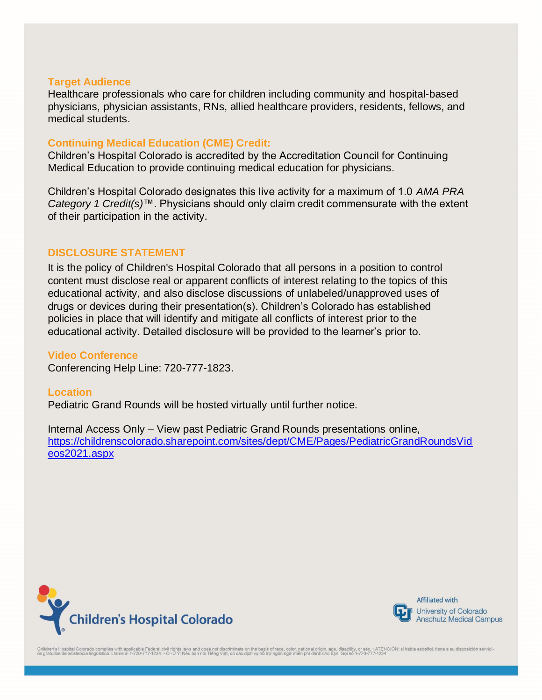#### **Target Audience**

Healthcare professionals who care for children including community and hospital-based physicians, physician assistants, RNs, allied healthcare providers, residents, fellows, and medical students.

### **Continuing Medical Education (CME) Credit:**

Children's Hospital Colorado is accredited by the Accreditation Council for Continuing Medical Education to provide continuing medical education for physicians.

Children's Hospital Colorado designates this live activity for a maximum of 1.0 *AMA PRA Category 1 Credit(s)*™. Physicians should only claim credit commensurate with the extent of their participation in the activity.

### **DISCLOSURE STATEMENT**

It is the policy of Children's Hospital Colorado that all persons in a position to control content must disclose real or apparent conflicts of interest relating to the topics of this educational activity, and also disclose discussions of unlabeled/unapproved uses of drugs or devices during their presentation(s). Children's Colorado has established policies in place that will identify and mitigate all conflicts of interest prior to the educational activity. Detailed disclosure will be provided to the learner's prior to.

**Video Conference** Conferencing Help Line: 720-777-1823.

**Location** Pediatric Grand Rounds will be hosted virtually until further notice.

Internal Access Only – View past Pediatric Grand Rounds presentations online, [https://childrenscolorado.sharepoint.com/sites/dept/CME/Pages/PediatricGrandRoundsVid](https://childrenscolorado.sharepoint.com/sites/dept/CME/Pages/PediatricGrandRoundsVideos2021.aspx) [eos2021.aspx](https://childrenscolorado.sharepoint.com/sites/dept/CME/Pages/PediatricGrandRoundsVideos2021.aspx)





**Affiliated with** University of Colorado **Anschutz Medical Campus** 

Children's Hospital Colorado complies with applicable Federal civil rights laws and does not discriminate on the basis of race, color, national origin, age, disability, or sex. • ATENCIÓN: si habla español, tiene a su dis